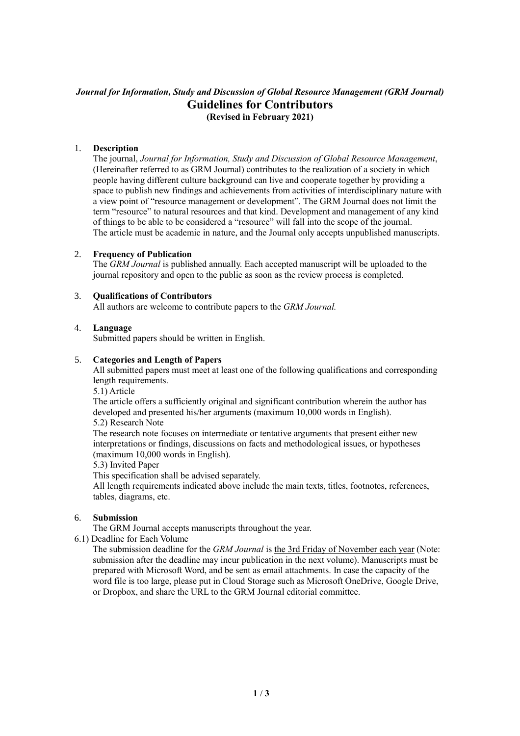# *Journal for Information, Study and Discussion of Global Resource Management (GRM Journal)* **Guidelines for Contributors (Revised in February 2021)**

# 1. **Description**

The journal, *Journal for Information, Study and Discussion of Global Resource Management*, (Hereinafter referred to as GRM Journal) contributes to the realization of a society in which people having different culture background can live and cooperate together by providing a space to publish new findings and achievements from activities of interdisciplinary nature with a view point of "resource management or development". The GRM Journal does not limit the term "resource" to natural resources and that kind. Development and management of any kind of things to be able to be considered a "resource" will fall into the scope of the journal. The article must be academic in nature, and the Journal only accepts unpublished manuscripts.

# 2. **Frequency of Publication**

The *GRM Journal* is published annually. Each accepted manuscript will be uploaded to the journal repository and open to the public as soon as the review process is completed.

# 3. **Qualifications of Contributors**

All authors are welcome to contribute papers to the *GRM Journal.*

# 4. **Language**

Submitted papers should be written in English.

# 5. **Categories and Length of Papers**

All submitted papers must meet at least one of the following qualifications and corresponding length requirements.

5.1) Article

The article offers a sufficiently original and significant contribution wherein the author has developed and presented his/her arguments (maximum 10,000 words in English).

5.2) Research Note

The research note focuses on intermediate or tentative arguments that present either new interpretations or findings, discussions on facts and methodological issues, or hypotheses (maximum 10,000 words in English).

5.3) Invited Paper

This specification shall be advised separately.

All length requirements indicated above include the main texts, titles, footnotes, references, tables, diagrams, etc.

# 6. **Submission**

The GRM Journal accepts manuscripts throughout the year.

6.1) Deadline for Each Volume

The submission deadline for the *GRM Journal* is the 3rd Friday of November each year (Note: submission after the deadline may incur publication in the next volume). Manuscripts must be prepared with Microsoft Word, and be sent as email attachments. In case the capacity of the word file is too large, please put in Cloud Storage such as Microsoft OneDrive, Google Drive, or Dropbox, and share the URL to the GRM Journal editorial committee.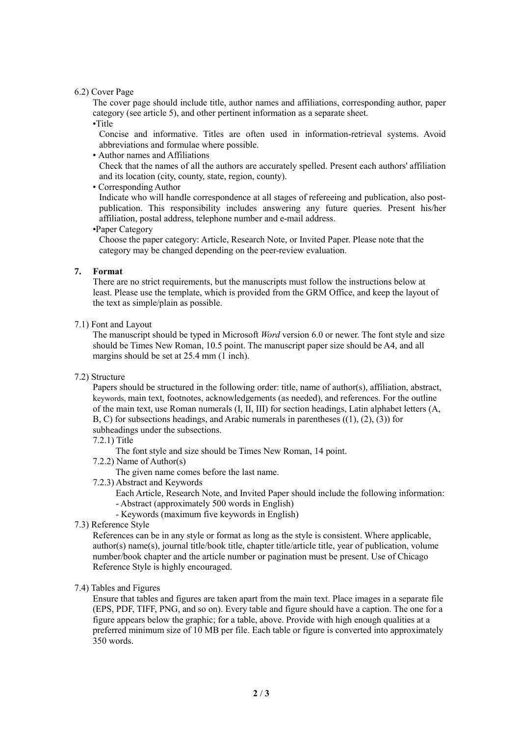#### 6.2) Cover Page

The cover page should include title, author names and affiliations, corresponding author, paper category (see article 5), and other pertinent information as a separate sheet.

•Title

Concise and informative. Titles are often used in information-retrieval systems. Avoid abbreviations and formulae where possible.

• Author names and Affiliations

Check that the names of all the authors are accurately spelled. Present each authors' affiliation and its location (city, county, state, region, county).

• Corresponding Author

Indicate who will handle correspondence at all stages of refereeing and publication, also postpublication. This responsibility includes answering any future queries. Present his/her affiliation, postal address, telephone number and e-mail address.

•Paper Category

Choose the paper category: Article, Research Note, or Invited Paper. Please note that the category may be changed depending on the peer-review evaluation.

#### **7. Format**

There are no strict requirements, but the manuscripts must follow the instructions below at least. Please use the template, which is provided from the GRM Office, and keep the layout of the text as simple/plain as possible.

#### 7.1) Font and Layout

The manuscript should be typed in Microsoft *Word* version 6.0 or newer. The font style and size should be Times New Roman, 10.5 point. The manuscript paper size should be A4, and all margins should be set at 25.4 mm (1 inch).

7.2) Structure

Papers should be structured in the following order: title, name of author(s), affiliation, abstract, keywords, main text, footnotes, acknowledgements (as needed), and references. For the outline of the main text, use Roman numerals (I, II, III) for section headings, Latin alphabet letters (A, B, C) for subsections headings, and Arabic numerals in parentheses ((1), (2), (3)) for subheadings under the subsections.

# 7.2.1) Title

The font style and size should be Times New Roman, 14 point.

7.2.2) Name of Author(s)

The given name comes before the last name.

7.2.3) Abstract and Keywords

 Each Article, Research Note, and Invited Paper should include the following information: - Abstract (approximately 500 words in English)

- Keywords (maximum five keywords in English)
- 7.3) Reference Style

References can be in any style or format as long as the style is consistent. Where applicable, author(s) name(s), journal title/book title, chapter title/article title, year of publication, volume number/book chapter and the article number or pagination must be present. Use of Chicago Reference Style is highly encouraged.

#### 7.4) Tables and Figures

Ensure that tables and figures are taken apart from the main text. Place images in a separate file (EPS, PDF, TIFF, PNG, and so on). Every table and figure should have a caption. The one for a figure appears below the graphic; for a table, above. Provide with high enough qualities at a preferred minimum size of 10 MB per file. Each table or figure is converted into approximately 350 words.